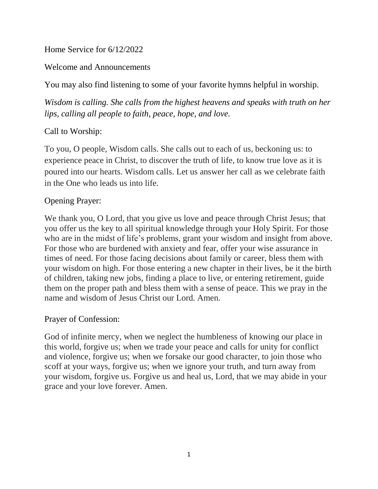Home Service for 6/12/2022

Welcome and Announcements

You may also find listening to some of your favorite hymns helpful in worship.

*Wisdom is calling. She calls from the highest heavens and speaks with truth on her lips, calling all people to faith, peace, hope, and love.*

# Call to Worship:

To you, O people, Wisdom calls. She calls out to each of us, beckoning us: to experience peace in Christ, to discover the truth of life, to know true love as it is poured into our hearts. Wisdom calls. Let us answer her call as we celebrate faith in the One who leads us into life.

## Opening Prayer:

We thank you, O Lord, that you give us love and peace through Christ Jesus; that you offer us the key to all spiritual knowledge through your Holy Spirit. For those who are in the midst of life's problems, grant your wisdom and insight from above. For those who are burdened with anxiety and fear, offer your wise assurance in times of need. For those facing decisions about family or career, bless them with your wisdom on high. For those entering a new chapter in their lives, be it the birth of children, taking new jobs, finding a place to live, or entering retirement, guide them on the proper path and bless them with a sense of peace. This we pray in the name and wisdom of Jesus Christ our Lord. Amen.

## Prayer of Confession:

God of infinite mercy, when we neglect the humbleness of knowing our place in this world, forgive us; when we trade your peace and calls for unity for conflict and violence, forgive us; when we forsake our good character, to join those who scoff at your ways, forgive us; when we ignore your truth, and turn away from your wisdom, forgive us. Forgive us and heal us, Lord, that we may abide in your grace and your love forever. Amen.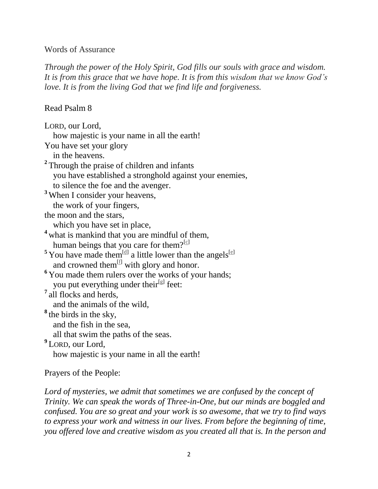#### Words of Assurance

*Through the power of the Holy Spirit, God fills our souls with grace and wisdom. It is from this grace that we have hope. It is from this wisdom that we know God's love. It is from the living God that we find life and forgiveness.*

#### Read Psalm 8

LORD, our Lord, how majestic is your name in all the earth! You have set your glory in the heavens. <sup>2</sup> Through the praise of children and infants you have established a stronghold against your enemies, to silence the foe and the avenger. **<sup>3</sup>** When I consider your heavens, the work of your fingers, the moon and the stars, which you have set in place, **<sup>4</sup>** what is mankind that you are mindful of them, human beings that you care for them? $[c]$ <sup>5</sup> You have made them<sup>[\[d\]](https://www.biblegateway.com/passage/?search=Psalm+8&version=NIV#fen-NIV-14018d)</sup> a little lower than the angels<sup>[\[e\]](https://www.biblegateway.com/passage/?search=Psalm+8&version=NIV#fen-NIV-14018e)</sup> and crowned them<sup>[\[f\]](https://www.biblegateway.com/passage/?search=Psalm+8&version=NIV#fen-NIV-14018f)</sup> with glory and honor. <sup>6</sup> You made them rulers over the works of your hands; you put everything under their<sup>[\[g\]](https://www.biblegateway.com/passage/?search=Psalm+8&version=NIV#fen-NIV-14019g)</sup> feet: <sup>7</sup> all flocks and herds, and the animals of the wild, **8** the birds in the sky, and the fish in the sea, all that swim the paths of the seas. **9** LORD, our Lord, how majestic is your name in all the earth!

## Prayers of the People:

Lord of mysteries, we admit that sometimes we are confused by the concept of *Trinity. We can speak the words of Three-in-One, but our minds are boggled and confused. You are so great and your work is so awesome, that we try to find ways to express your work and witness in our lives. From before the beginning of time, you offered love and creative wisdom as you created all that is. In the person and*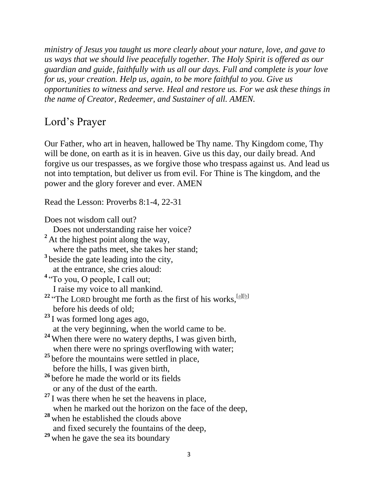*ministry of Jesus you taught us more clearly about your nature, love, and gave to us ways that we should live peacefully together. The Holy Spirit is offered as our guardian and guide, faithfully with us all our days. Full and complete is your love for us, your creation. Help us, again, to be more faithful to you. Give us opportunities to witness and serve. Heal and restore us. For we ask these things in the name of Creator, Redeemer, and Sustainer of all. AMEN.*

# Lord's Prayer

Our Father, who art in heaven, hallowed be Thy name. Thy Kingdom come, Thy will be done, on earth as it is in heaven. Give us this day, our daily bread. And forgive us our trespasses, as we forgive those who trespass against us. And lead us not into temptation, but deliver us from evil. For Thine is The kingdom, and the power and the glory forever and ever. AMEN

Read the Lesson: Proverbs 8:1-4, 22-31

Does not wisdom call out?

Does not understanding raise her voice?

- <sup>2</sup> At the highest point along the way, where the paths meet, she takes her stand; <sup>3</sup> beside the gate leading into the city, at the entrance, she cries aloud:
- <sup>4</sup> "To you, O people, I call out; I raise my voice to all mankind.
- $22$  "The LORD brought me forth as the first of his works, [\[a\]](https://www.biblegateway.com/passage/?search=Proverbs+8%3A1-4%2C+22-31&version=NIV#fen-NIV-16625a)[\[b\]](https://www.biblegateway.com/passage/?search=Proverbs+8%3A1-4%2C+22-31&version=NIV#fen-NIV-16625b) before his deeds of old;
- **<sup>23</sup>** I was formed long ages ago, at the very beginning, when the world came to be.
- **<sup>24</sup>** When there were no watery depths, I was given birth,
- when there were no springs overflowing with water;
- <sup>25</sup> before the mountains were settled in place, before the hills, I was given birth,
- **<sup>26</sup>** before he made the world or its fields or any of the dust of the earth.
- <sup>27</sup> I was there when he set the heavens in place, when he marked out the horizon on the face of the deep,
- **<sup>28</sup>** when he established the clouds above and fixed securely the fountains of the deep,
- **<sup>29</sup>** when he gave the sea its boundary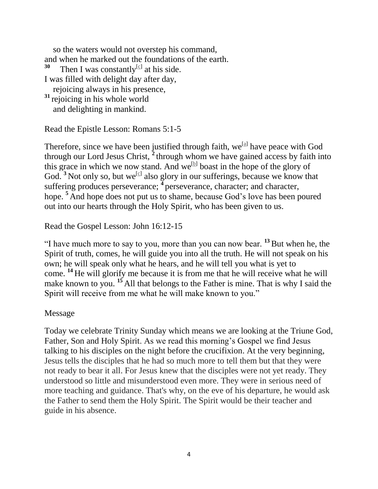so the waters would not overstep his command, and when he marked out the foundations of the earth. **30** Then I was constantly<sup>[\[c\]](https://www.biblegateway.com/passage/?search=Proverbs+8%3A1-4%2C+22-31&version=NIV#fen-NIV-16633c)</sup> at his side. I was filled with delight day after day, rejoicing always in his presence, **<sup>31</sup>** rejoicing in his whole world and delighting in mankind.

Read the Epistle Lesson: Romans 5:1-5

Therefore, since we have been justified through faith,  $we^{[a]}$  $we^{[a]}$  $we^{[a]}$  have peace with God through our Lord Jesus Christ, **<sup>2</sup>** through whom we have gained access by faith into this grace in which we now stand. And we<sup>[\[b\]](https://www.biblegateway.com/passage/?search=Romans+5%3A1-5&version=NIV#fen-NIV-28050b)</sup> boast in the hope of the glory of God.  $3$  Not only so, but we<sup>[\[c\]](https://www.biblegateway.com/passage/?search=Romans+5%3A1-5&version=NIV#fen-NIV-28051c)</sup> also glory in our sufferings, because we know that suffering produces perseverance; <sup>4</sup> perseverance, character; and character, hope. **<sup>5</sup>** And hope does not put us to shame, because God's love has been poured out into our hearts through the Holy Spirit, who has been given to us.

Read the Gospel Lesson: John 16:12-15

"I have much more to say to you, more than you can now bear. **<sup>13</sup>**But when he, the Spirit of truth, comes, he will guide you into all the truth. He will not speak on his own; he will speak only what he hears, and he will tell you what is yet to come. **<sup>14</sup>** He will glorify me because it is from me that he will receive what he will make known to you. **<sup>15</sup>** All that belongs to the Father is mine. That is why I said the Spirit will receive from me what he will make known to you."

#### Message

Today we celebrate Trinity Sunday which means we are looking at the Triune God, Father, Son and Holy Spirit. As we read this morning's Gospel we find Jesus talking to his disciples on the night before the crucifixion. At the very beginning, Jesus tells the disciples that he had so much more to tell them but that they were not ready to bear it all. For Jesus knew that the disciples were not yet ready. They understood so little and misunderstood even more. They were in serious need of more teaching and guidance. That's why, on the eve of his departure, he would ask the Father to send them the Holy Spirit. The Spirit would be their teacher and guide in his absence.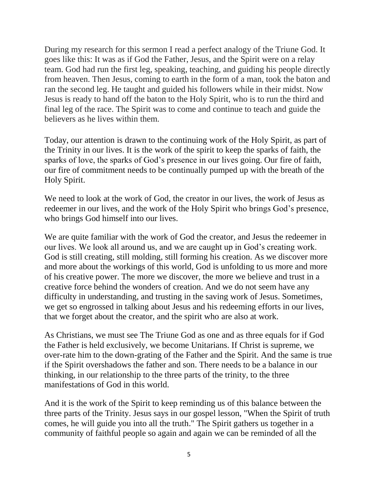During my research for this sermon I read a perfect analogy of the Triune God. It goes like this: It was as if God the Father, Jesus, and the Spirit were on a relay team. God had run the first leg, speaking, teaching, and guiding his people directly from heaven. Then Jesus, coming to earth in the form of a man, took the baton and ran the second leg. He taught and guided his followers while in their midst. Now Jesus is ready to hand off the baton to the Holy Spirit, who is to run the third and final leg of the race. The Spirit was to come and continue to teach and guide the believers as he lives within them.

Today, our attention is drawn to the continuing work of the Holy Spirit, as part of the Trinity in our lives. It is the work of the spirit to keep the sparks of faith, the sparks of love, the sparks of God's presence in our lives going. Our fire of faith, our fire of commitment needs to be continually pumped up with the breath of the Holy Spirit.

We need to look at the work of God, the creator in our lives, the work of Jesus as redeemer in our lives, and the work of the Holy Spirit who brings God's presence, who brings God himself into our lives.

We are quite familiar with the work of God the creator, and Jesus the redeemer in our lives. We look all around us, and we are caught up in God's creating work. God is still creating, still molding, still forming his creation. As we discover more and more about the workings of this world, God is unfolding to us more and more of his creative power. The more we discover, the more we believe and trust in a creative force behind the wonders of creation. And we do not seem have any difficulty in understanding, and trusting in the saving work of Jesus. Sometimes, we get so engrossed in talking about Jesus and his redeeming efforts in our lives, that we forget about the creator, and the spirit who are also at work.

As Christians, we must see The Triune God as one and as three equals for if God the Father is held exclusively, we become Unitarians. If Christ is supreme, we over-rate him to the down-grating of the Father and the Spirit. And the same is true if the Spirit overshadows the father and son. There needs to be a balance in our thinking, in our relationship to the three parts of the trinity, to the three manifestations of God in this world.

And it is the work of the Spirit to keep reminding us of this balance between the three parts of the Trinity. Jesus says in our gospel lesson, "When the Spirit of truth comes, he will guide you into all the truth." The Spirit gathers us together in a community of faithful people so again and again we can be reminded of all the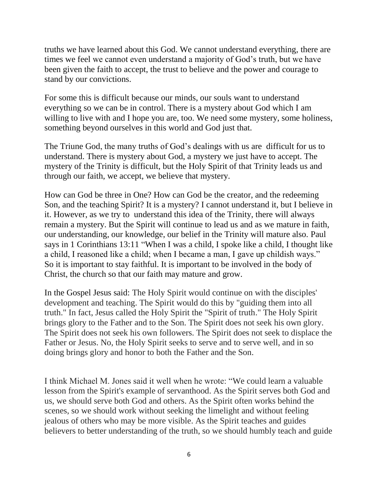truths we have learned about this God. We cannot understand everything, there are times we feel we cannot even understand a majority of God's truth, but we have been given the faith to accept, the trust to believe and the power and courage to stand by our convictions.

For some this is difficult because our minds, our souls want to understand everything so we can be in control. There is a mystery about God which I am willing to live with and I hope you are, too. We need some mystery, some holiness, something beyond ourselves in this world and God just that.

The Triune God, the many truths of God's dealings with us are difficult for us to understand. There is mystery about God, a mystery we just have to accept. The mystery of the Trinity is difficult, but the Holy Spirit of that Trinity leads us and through our faith, we accept, we believe that mystery.

How can God be three in One? How can God be the creator, and the redeeming Son, and the teaching Spirit? It is a mystery? I cannot understand it, but I believe in it. However, as we try to understand this idea of the Trinity, there will always remain a mystery. But the Spirit will continue to lead us and as we mature in faith, our understanding, our knowledge, our belief in the Trinity will mature also. Paul says in 1 Corinthians 13:11 "When I was a child, I spoke like a child, I thought like a child, I reasoned like a child; when I became a man, I gave up childish ways." So it is important to stay faithful. It is important to be involved in the body of Christ, the church so that our faith may mature and grow.

In the Gospel Jesus said: The Holy Spirit would continue on with the disciples' development and teaching. The Spirit would do this by "guiding them into all truth." In fact, Jesus called the Holy Spirit the "Spirit of truth." The Holy Spirit brings glory to the Father and to the Son. The Spirit does not seek his own glory. The Spirit does not seek his own followers. The Spirit does not seek to displace the Father or Jesus. No, the Holy Spirit seeks to serve and to serve well, and in so doing brings glory and honor to both the Father and the Son.

I think Michael M. Jones said it well when he wrote: "We could learn a valuable lesson from the Spirit's example of servanthood. As the Spirit serves both God and us, we should serve both God and others. As the Spirit often works behind the scenes, so we should work without seeking the limelight and without feeling jealous of others who may be more visible. As the Spirit teaches and guides believers to better understanding of the truth, so we should humbly teach and guide